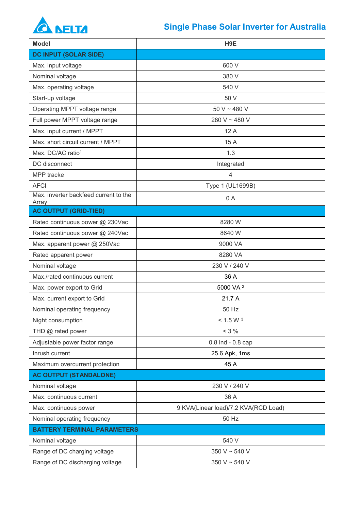## **A NELTA**

## **Single Phase Solar Inverter for Australia**

| <b>Model</b>                                   | H <sub>9E</sub>                      |
|------------------------------------------------|--------------------------------------|
| <b>DC INPUT (SOLAR SIDE)</b>                   |                                      |
| Max. input voltage                             | 600 V                                |
| Nominal voltage                                | 380 V                                |
| Max. operating voltage                         | 540 V                                |
| Start-up voltage                               | 50 V                                 |
| Operating MPPT voltage range                   | 50 V ~ 480 V                         |
| Full power MPPT voltage range                  | 280 V ~ 480 V                        |
| Max. input current / MPPT                      | 12A                                  |
| Max. short circuit current / MPPT              | 15 A                                 |
| Max. DC/AC ratio <sup>1</sup>                  | 1.3                                  |
| DC disconnect                                  | Integrated                           |
| MPP tracke                                     | $\overline{4}$                       |
| <b>AFCI</b>                                    | Type 1 (UL1699B)                     |
| Max. inverter backfeed current to the<br>Array | 0A                                   |
| <b>AC OUTPUT (GRID-TIED)</b>                   |                                      |
| Rated continuous power @ 230Vac                | 8280W                                |
| Rated continuous power @ 240Vac                | 8640 W                               |
| Max. apparent power @ 250Vac                   | 9000 VA                              |
| Rated apparent power                           | 8280 VA                              |
| Nominal voltage                                | 230 V / 240 V                        |
| Max./rated continuous current                  | 36 A                                 |
| Max. power export to Grid                      | 5000 VA <sup>2</sup>                 |
| Max. current export to Grid                    | 21.7 A                               |
| Nominal operating frequency                    | 50 Hz                                |
| Night consumption                              | < 1.5 W <sup>3</sup>                 |
| THD @ rated power                              | $< 3 \%$                             |
| Adjustable power factor range                  | $0.8$ ind - $0.8$ cap                |
| Inrush current                                 | 25.6 Apk, 1ms                        |
| Maximum overcurrent protection                 | 45 A                                 |
| <b>AC OUTPUT (STANDALONE)</b>                  |                                      |
| Nominal voltage                                | 230 V / 240 V                        |
| Max. continuous current                        | 36 A                                 |
| Max. continuous power                          | 9 KVA(Linear load)/7.2 KVA(RCD Load) |
| Nominal operating frequency                    | 50 Hz                                |
| <b>BATTERY TERMINAL PARAMETERS</b>             |                                      |
| Nominal voltage                                | 540 V                                |
| Range of DC charging voltage                   | 350 V ~ 540 V                        |
| Range of DC discharging voltage                | 350 V ~ 540 V                        |